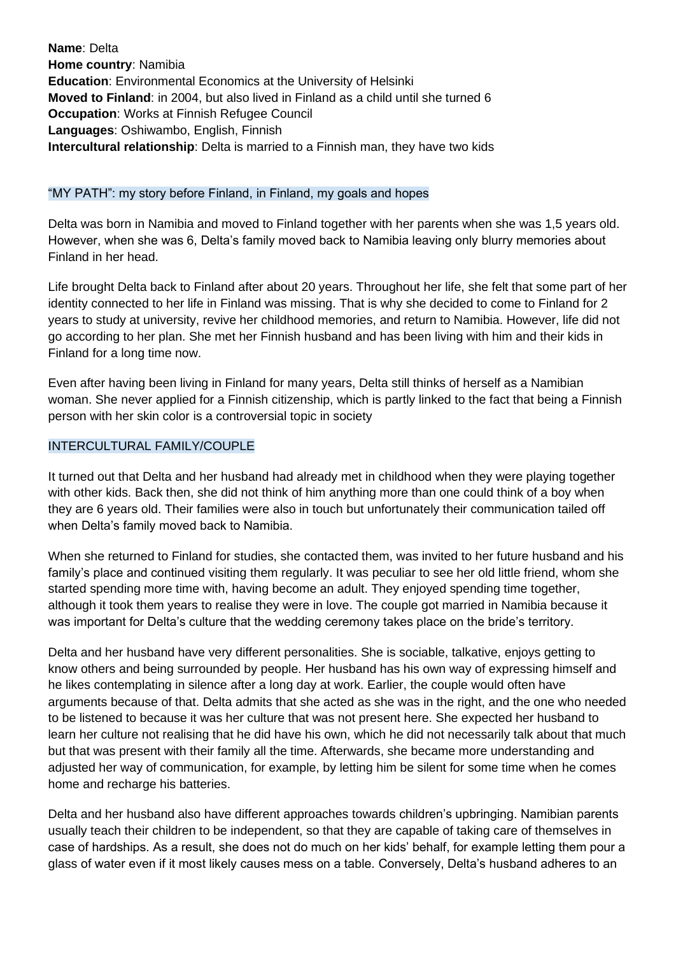**Name**: Delta **Home country**: Namibia **Education**: Environmental Economics at the University of Helsinki **Moved to Finland**: in 2004, but also lived in Finland as a child until she turned 6 **Occupation**: Works at Finnish Refugee Council **Languages**: Oshiwambo, English, Finnish **Intercultural relationship**: Delta is married to a Finnish man, they have two kids

## "MY PATH": my story before Finland, in Finland, my goals and hopes

Delta was born in Namibia and moved to Finland together with her parents when she was 1,5 years old. However, when she was 6, Delta's family moved back to Namibia leaving only blurry memories about Finland in her head.

Life brought Delta back to Finland after about 20 years. Throughout her life, she felt that some part of her identity connected to her life in Finland was missing. That is why she decided to come to Finland for 2 years to study at university, revive her childhood memories, and return to Namibia. However, life did not go according to her plan. She met her Finnish husband and has been living with him and their kids in Finland for a long time now.

Even after having been living in Finland for many years, Delta still thinks of herself as a Namibian woman. She never applied for a Finnish citizenship, which is partly linked to the fact that being a Finnish person with her skin color is a controversial topic in society

## INTERCULTURAL FAMILY/COUPLE

It turned out that Delta and her husband had already met in childhood when they were playing together with other kids. Back then, she did not think of him anything more than one could think of a boy when they are 6 years old. Their families were also in touch but unfortunately their communication tailed off when Delta's family moved back to Namibia.

When she returned to Finland for studies, she contacted them, was invited to her future husband and his family's place and continued visiting them regularly. It was peculiar to see her old little friend, whom she started spending more time with, having become an adult. They enjoyed spending time together, although it took them years to realise they were in love. The couple got married in Namibia because it was important for Delta's culture that the wedding ceremony takes place on the bride's territory.

Delta and her husband have very different personalities. She is sociable, talkative, enjoys getting to know others and being surrounded by people. Her husband has his own way of expressing himself and he likes contemplating in silence after a long day at work. Earlier, the couple would often have arguments because of that. Delta admits that she acted as she was in the right, and the one who needed to be listened to because it was her culture that was not present here. She expected her husband to learn her culture not realising that he did have his own, which he did not necessarily talk about that much but that was present with their family all the time. Afterwards, she became more understanding and adjusted her way of communication, for example, by letting him be silent for some time when he comes home and recharge his batteries.

Delta and her husband also have different approaches towards children's upbringing. Namibian parents usually teach their children to be independent, so that they are capable of taking care of themselves in case of hardships. As a result, she does not do much on her kids' behalf, for example letting them pour a glass of water even if it most likely causes mess on a table. Conversely, Delta's husband adheres to an